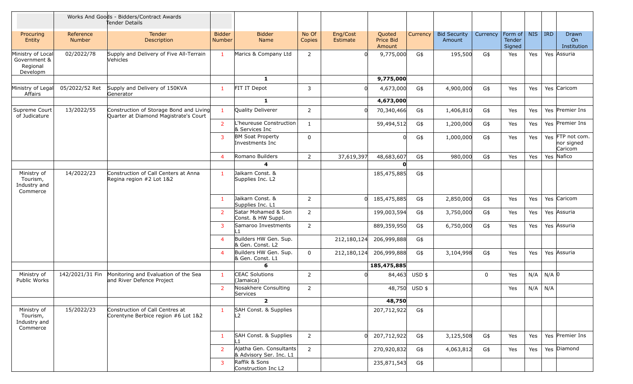|                                                           |                     | Works And Goods - Bidders/Contract Awards<br>Tender Details                      |                         |                                                    |                 |                      |                               |               |                               |             |                             |            |            |                                           |
|-----------------------------------------------------------|---------------------|----------------------------------------------------------------------------------|-------------------------|----------------------------------------------------|-----------------|----------------------|-------------------------------|---------------|-------------------------------|-------------|-----------------------------|------------|------------|-------------------------------------------|
| Procuring<br>Entity                                       | Reference<br>Number | <b>Tender</b><br>Description                                                     | <b>Bidder</b><br>Number | <b>Bidder</b><br>Name                              | No Of<br>Copies | Eng/Cost<br>Estimate | Quoted<br>Price Bid<br>Amount | Currency      | <b>Bid Security</b><br>Amount | Currency    | Form of<br>Tender<br>Signed | <b>NIS</b> | <b>IRD</b> | <b>Drawn</b><br>On<br>Institution         |
| Ministry of Local<br>Government &<br>Regional<br>Developm | 02/2022/78          | Supply and Delivery of Five All-Terrain<br>Vehicles                              | $\mathbf{1}$            | Marics & Company Ltd                               | $\overline{2}$  | <sup>n</sup>         | 9,775,000                     | G\$           | 195,500                       | G\$         | Yes                         | Yes        |            | Yes Assuria                               |
|                                                           |                     |                                                                                  |                         | $\mathbf{1}$                                       |                 |                      | 9,775,000                     |               |                               |             |                             |            |            |                                           |
| Ministry of Legal<br>Affairs                              | 05/2022/52 Ret      | Supply and Delivery of 150KVA<br>Generator                                       | 1                       | FIT IT Depot                                       | 3               | $\Omega$             | 4,673,000                     | G\$           | 4,900,000                     | G\$         | Yes                         | Yes        |            | Yes Caricom                               |
|                                                           |                     |                                                                                  |                         | $\mathbf{1}$                                       |                 |                      | 4,673,000                     |               |                               |             |                             |            |            |                                           |
| Supreme Court<br>of Judicature                            | 13/2022/55          | Construction of Storage Bond and Living<br>Quarter at Diamond Magistrate's Court | $\mathbf{1}$            | Quality Deliverer                                  | $\overline{2}$  | $\Omega$             | 70,340,466                    | G\$           | 1,406,810                     | G\$         | Yes                         | Yes        |            | Yes Premier Ins                           |
|                                                           |                     |                                                                                  | $\overline{2}$          | L'heureuse Construction<br>& Services Inc          | $\mathbf{1}$    |                      | 59,494,512                    | G\$           | 1,200,000                     | G\$         | Yes                         | Yes        |            | Yes Premier Ins                           |
|                                                           |                     |                                                                                  | $\mathbf{3}$            | <b>BM Soat Property</b><br>Investments Inc         | 0               |                      | <sup>0</sup>                  | G\$           | 1,000,000                     | G\$         | Yes                         | Yes        |            | Yes FTP not com.<br>nor signed<br>Caricom |
|                                                           |                     |                                                                                  | $\overline{4}$          | Romano Builders                                    | 2               | 37,619,397           | 48,683,607                    | G\$           | 980,000                       | G\$         | Yes                         | Yes        |            | Yes Nafico                                |
|                                                           |                     |                                                                                  |                         | $\boldsymbol{4}$                                   |                 |                      | $\Omega$                      |               |                               |             |                             |            |            |                                           |
| Ministry of<br>Tourism,<br>Industry and<br>Commerce       | 14/2022/23          | Construction of Call Centers at Anna<br>Regina region #2 Lot 1&2                 | $\mathbf{1}$            | Jaikarn Const. &<br>Supplies Inc. L2               |                 |                      | 185,475,885                   | G\$           |                               |             |                             |            |            |                                           |
|                                                           |                     |                                                                                  | 1                       | Jaikarn Const. &<br>Supplies Inc. L1               | $\overline{2}$  | $\Omega$             | 185,475,885                   | G\$           | 2,850,000                     | G\$         | Yes                         | Yes        |            | Yes Caricom                               |
|                                                           |                     |                                                                                  | $\overline{2}$          | Satar Mohamed & Son<br>Const. & HW Suppl.          | $\overline{2}$  |                      | 199,003,594                   | G\$           | 3,750,000                     | G\$         | Yes                         | Yes        |            | Yes Assuria                               |
|                                                           |                     |                                                                                  | 3                       | Samaroo Investments<br>∣ 1                         | $\overline{2}$  |                      | 889,359,950                   | G\$           | 6,750,000                     | G\$         | Yes                         | Yes        |            | Yes Assuria                               |
|                                                           |                     |                                                                                  | $\overline{4}$          | Builders HW Gen. Sup.<br>& Gen. Const. L2          |                 | 212,180,124          | 206,999,888                   | G\$           |                               |             |                             |            |            |                                           |
|                                                           |                     |                                                                                  | $\overline{4}$          | Builders HW Gen. Sup.<br>& Gen. Const. L1          | $\mathbf 0$     | 212,180,124          | 206,999,888                   | G\$           | 3,104,998                     | G\$         | Yes                         | Yes        |            | Yes Assuria                               |
|                                                           |                     |                                                                                  |                         | 6                                                  |                 |                      | 185,475,885                   |               |                               |             |                             |            |            |                                           |
| Ministry of<br>Public Works                               | 142/2021/31 Fin     | Monitoring and Evaluation of the Sea<br>and River Defence Project                | $\mathbf{1}$            | <b>CEAC Solutions</b><br>(Jamaica)                 | $\overline{2}$  |                      | 84,463                        | $USD$ \$      |                               | $\mathbf 0$ | Yes                         | N/A        | $N/A$ 0    |                                           |
|                                                           |                     |                                                                                  | $\overline{2}$          | Nosakhere Consulting<br>Services                   | 2               |                      |                               | 48,750 USD \$ |                               |             | Yes                         | N/A        | N/A        |                                           |
|                                                           |                     |                                                                                  |                         | $\overline{2}$                                     |                 |                      | 48,750                        |               |                               |             |                             |            |            |                                           |
| Ministry of<br>Tourism,<br>Industry and<br>Commerce       | 15/2022/23          | Construction of Call Centres at<br>Corentyne Berbice region #6 Lot 1&2           | $\mathbf{1}$            | SAH Const. & Supplies<br>L <sub>2</sub>            |                 |                      | 207,712,922                   | G\$           |                               |             |                             |            |            |                                           |
|                                                           |                     |                                                                                  | 1                       | SAH Const. & Supplies<br>l 1                       | $\overline{2}$  | $\Omega$             | 207,712,922                   | G\$           | 3,125,508                     | G\$         | Yes                         | Yes        |            | Yes Premier Ins                           |
|                                                           |                     |                                                                                  | $\overline{2}$          | Ajatha Gen. Consultants<br>& Advisory Ser. Inc. L1 | $2^{\circ}$     |                      | 270,920,832                   | G\$           | 4,063,812                     | G\$         | Yes                         | Yes        |            | Yes Diamond                               |
|                                                           |                     |                                                                                  | 3                       | Raffik & Sons<br>Construction Inc L2               |                 |                      | 235,871,543                   | G\$           |                               |             |                             |            |            |                                           |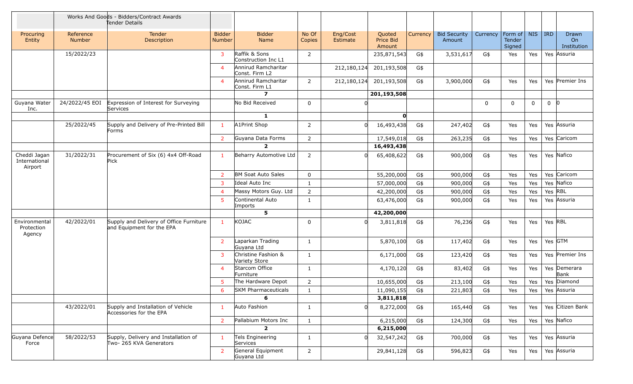|                                          |                            | Works And Goods - Bidders/Contract Awards<br>Tender Details          |                                |                                       |                 |                      |                               |          |                               |          |                                            |              |         |                                        |
|------------------------------------------|----------------------------|----------------------------------------------------------------------|--------------------------------|---------------------------------------|-----------------|----------------------|-------------------------------|----------|-------------------------------|----------|--------------------------------------------|--------------|---------|----------------------------------------|
| Procuring<br>Entity                      | Reference<br><b>Number</b> | Tender<br>Description                                                | <b>Bidder</b><br><b>Number</b> | <b>Bidder</b><br>Name                 | No Of<br>Copies | Eng/Cost<br>Estimate | Quoted<br>Price Bid<br>Amount | Currency | <b>Bid Security</b><br>Amount | Currency | Form of $\vert$<br><b>Tender</b><br>Signed | <b>NIS</b>   | IRD     | Drawn<br>O <sub>n</sub><br>Institution |
|                                          | 15/2022/23                 |                                                                      | 3                              | Raffik & Sons<br>Construction Inc L1  | $\overline{2}$  |                      | 235,871,543                   | G\$      | 3,531,617                     | G\$      | Yes                                        | Yes          |         | Yes Assuria                            |
|                                          |                            |                                                                      | $\overline{a}$                 | Annirud Ramcharitar<br>Const. Firm L2 |                 | 212,180,124          | 201,193,508                   | G\$      |                               |          |                                            |              |         |                                        |
|                                          |                            |                                                                      | $\overline{4}$                 | Annirud Ramcharitar<br>Const. Firm L1 | $\overline{2}$  | 212,180,124          | 201,193,508                   | G\$      | 3,900,000                     | G\$      | Yes                                        | Yes          |         | Yes Premier Ins                        |
|                                          |                            |                                                                      |                                | $\overline{\mathbf{z}}$               |                 |                      | 201,193,508                   |          |                               |          |                                            |              |         |                                        |
| Guyana Water<br>Inc.                     | 24/2022/45 EOI             | Expression of Interest for Surveying<br>Services                     |                                | No Bid Received                       | 0               |                      |                               |          |                               | $\Omega$ | 0                                          | $\mathbf{0}$ | $0$ 0   |                                        |
|                                          |                            |                                                                      |                                | $\mathbf{1}$                          |                 |                      | O                             |          |                               |          |                                            |              |         |                                        |
|                                          | 25/2022/45                 | Supply and Delivery of Pre-Printed Bill<br>Forms                     | $\mathbf{1}$                   | A1Print Shop                          | 2               |                      | 16,493,438                    | G\$      | 247,402                       | G\$      | Yes                                        | Yes          |         | Yes Assuria                            |
|                                          |                            |                                                                      | 2                              | Guyana Data Forms                     | 2               |                      | 17,549,018                    | G\$      | 263,235                       | G\$      | Yes                                        | Yes          |         | Yes Caricom                            |
|                                          |                            |                                                                      |                                | $\overline{2}$                        |                 |                      | 16,493,438                    |          |                               |          |                                            |              |         |                                        |
| Cheddi Jagan<br>International<br>Airport | 31/2022/31                 | Procurement of Six (6) 4x4 Off-Road<br>Pick                          | 1                              | Beharry Automotive Ltd                | $\overline{2}$  |                      | 65,408,622                    | G\$      | 900,000                       | G\$      | Yes                                        | Yes          |         | Yes Nafico                             |
|                                          |                            |                                                                      | $\overline{2}$                 | <b>BM Soat Auto Sales</b>             | 0               |                      | 55,200,000                    | G\$      | 900,000                       | G\$      | Yes                                        | Yes          |         | Yes Caricom                            |
|                                          |                            |                                                                      | 3                              | Ideal Auto Inc                        | $\mathbf{1}$    |                      | 57,000,000                    | G\$      | 900,000                       | G\$      | Yes                                        | Yes          |         | Yes Nafico                             |
|                                          |                            |                                                                      | $\overline{4}$                 | Massy Motors Guy. Ltd                 | $\overline{2}$  |                      | 42,200,000                    | G\$      | 900,000                       | G\$      | Yes                                        | Yes          |         | Yes RBL                                |
|                                          |                            |                                                                      | 5                              | Continental Auto<br>Imports           | $\mathbf{1}$    |                      | 63,476,000                    | G\$      | 900,000                       | G\$      | Yes                                        | Yes          |         | Yes Assuria                            |
|                                          |                            |                                                                      |                                | 5                                     |                 |                      | 42,200,000                    |          |                               |          |                                            |              |         |                                        |
| Environmental<br>Protection<br>Agency    | 42/2022/01                 | Supply and Delivery of Office Furniture<br>and Equipment for the EPA | $\mathbf{1}$                   | KOJAC                                 | 0               |                      | 3,811,818                     | G\$      | 76,236                        | G\$      | Yes                                        | Yes          | Yes RBL |                                        |
|                                          |                            |                                                                      | 2                              | Laparkan Trading<br>Guyana Ltd        | $\mathbf{1}$    |                      | 5,870,100                     | G\$      | 117,402                       | G\$      | Yes                                        | Yes          |         | Yes GTM                                |
|                                          |                            |                                                                      | $\overline{3}$                 | Christine Fashion &<br>Variety Store  | $\mathbf{1}$    |                      | 6,171,000                     | G\$      | 123,420                       | G\$      | Yes                                        | Yes          |         | Yes Premier Ins                        |
|                                          |                            |                                                                      | $\overline{4}$                 | Starcom Office<br>Furniture           | $\mathbf{1}$    |                      | 4,170,120                     | G\$      | 83,402                        | G\$      | Yes                                        | Yes          |         | Yes Demerara<br>Bank                   |
|                                          |                            |                                                                      | 5                              | The Hardware Depot                    | $\overline{2}$  |                      | 10,655,000                    | G\$      | 213,100                       | G\$      | Yes                                        | Yes          |         | Yes Diamond                            |
|                                          |                            |                                                                      | 6                              | <b>SKM Pharmaceuticals</b>            | 1               |                      | 11,090,155                    | G\$      | 221,803                       | G\$      | Yes                                        | Yes          |         | Yes Assuria                            |
|                                          |                            |                                                                      |                                | 6                                     |                 |                      | 3,811,818                     |          |                               |          |                                            |              |         |                                        |
|                                          | 43/2022/01                 | Supply and Installation of Vehicle<br>Accessories for the EPA        | $\mathbf{1}$                   | Auto Fashion                          | $\mathbf{1}$    |                      | 8,272,000                     | G\$      | 165,440                       | G\$      | Yes                                        | Yes          |         | Yes Citizen Bank                       |
|                                          |                            |                                                                      | $\overline{2}$                 | Pallabium Motors Inc                  | $\mathbf{1}$    |                      | 6,215,000                     | G\$      | 124,300                       | G\$      | Yes                                        | Yes          |         | Yes Nafico                             |
|                                          |                            |                                                                      |                                | $\overline{2}$                        |                 |                      | 6,215,000                     |          |                               |          |                                            |              |         |                                        |
| Guyana Defence<br>Force                  | 58/2022/53                 | Supply, Delivery and Installation of<br>Two- 265 KVA Generators      | $\mathbf{1}$                   | Tels Engineering<br>Services          | $\mathbf{1}$    |                      | 32,547,242                    | G\$      | 700,000                       | G\$      | Yes                                        | Yes          |         | Yes Assuria                            |
|                                          |                            |                                                                      | $\overline{2}$                 | General Equipment<br>Guyana Ltd       | $\overline{2}$  |                      | 29,841,128                    | G\$      | 596,823                       | G\$      | Yes                                        | Yes          |         | Yes Assuria                            |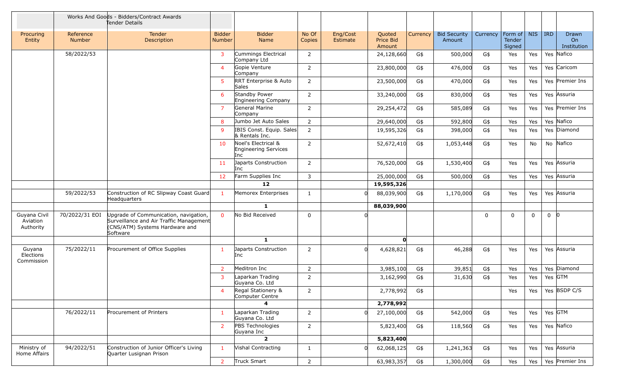|                                       |                            | Works And Goods - Bidders/Contract Awards<br>Tender Details                                                                    |                                |                                                    |                 |                      |                               |          |                               |             |                             |              |                |                            |
|---------------------------------------|----------------------------|--------------------------------------------------------------------------------------------------------------------------------|--------------------------------|----------------------------------------------------|-----------------|----------------------|-------------------------------|----------|-------------------------------|-------------|-----------------------------|--------------|----------------|----------------------------|
| Procuring<br>Entity                   | Reference<br><b>Number</b> | <b>Tender</b><br>Description                                                                                                   | <b>Bidder</b><br><b>Number</b> | <b>Bidder</b><br>Name                              | No Of<br>Copies | Eng/Cost<br>Estimate | Quoted<br>Price Bid<br>Amount | Currency | <b>Bid Security</b><br>Amount | Currency    | Form of<br>Tender<br>Signed | <b>NIS</b>   | IRD            | Drawn<br>On<br>Institution |
|                                       | 58/2022/53                 |                                                                                                                                | 3                              | Cummings Electrical<br>Company Ltd                 | $\overline{2}$  |                      | 24,128,660                    | G\$      | 500,000                       | G\$         | Yes                         | Yes          |                | Yes Nafico                 |
|                                       |                            |                                                                                                                                | $\overline{4}$                 | Gopie Venture<br>Company                           | $\overline{2}$  |                      | 23,800,000                    | G\$      | 476,000                       | G\$         | Yes                         | Yes          |                | Yes Caricom                |
|                                       |                            |                                                                                                                                | 5                              | RRT Enterprise & Auto<br>Sales                     | $\overline{2}$  |                      | 23,500,000                    | G\$      | 470,000                       | G\$         | Yes                         | Yes          |                | Yes Premier Ins            |
|                                       |                            |                                                                                                                                | 6                              | Standby Power<br>Engineering Company               | $\overline{2}$  |                      | 33,240,000                    | G\$      | 830,000                       | G\$         | Yes                         | Yes          |                | Yes Assuria                |
|                                       |                            |                                                                                                                                | $\overline{7}$                 | General Marine<br>Company                          | $\overline{2}$  |                      | 29,254,472                    | G\$      | 585,089                       | G\$         | Yes                         | Yes          |                | Yes Premier Ins            |
|                                       |                            |                                                                                                                                | 8                              | Jumbo Jet Auto Sales                               | $\overline{2}$  |                      | 29,640,000                    | G\$      | 592,800                       | G\$         | Yes                         | Yes          |                | Yes Nafico                 |
|                                       |                            |                                                                                                                                | 9                              | IBIS Const. Equip. Sales<br>& Rentals Inc.         | $\overline{2}$  |                      | 19,595,326                    | G\$      | 398,000                       | G\$         | Yes                         | Yes          |                | Yes Diamond                |
|                                       |                            |                                                                                                                                | 10                             | Noel's Electrical &<br>Engineering Services<br>Inc | $\overline{2}$  |                      | 52,672,410                    | G\$      | 1,053,448                     | G\$         | Yes                         | No           |                | No Nafico                  |
|                                       |                            |                                                                                                                                | 11                             | Japarts Construction<br>Inc                        | $\overline{2}$  |                      | 76,520,000                    | G\$      | 1,530,400                     | G\$         | Yes                         | Yes          |                | Yes Assuria                |
|                                       |                            |                                                                                                                                | 12                             | Farm Supplies Inc                                  | 3               |                      | 25,000,000                    | G\$      | 500,000                       | G\$         | Yes                         | Yes          |                | Yes Assuria                |
|                                       |                            |                                                                                                                                |                                | 12                                                 |                 |                      | 19,595,326                    |          |                               |             |                             |              |                |                            |
|                                       | 59/2022/53                 | Construction of RC Slipway Coast Guard<br>Headquarters                                                                         | $\mathbf{1}$                   | Memorex Enterprises                                | 1               |                      | 88,039,900                    | G\$      | 1,170,000                     | G\$         | Yes                         | Yes          |                | Yes Assuria                |
|                                       |                            |                                                                                                                                |                                | $\mathbf{1}$                                       |                 |                      | 88,039,900                    |          |                               |             |                             |              |                |                            |
| Guyana Civil<br>Aviation<br>Authority | 70/2022/31 EOI             | Upgrade of Communication, navigation,<br>Surveillance and Air Traffic Management<br>(CNS/ATM) Systems Hardware and<br>Software | $\Omega$                       | No Bid Received                                    | 0               |                      |                               |          |                               | $\mathbf 0$ | 0                           | $\mathbf{0}$ | $\overline{0}$ | -10                        |
|                                       |                            |                                                                                                                                |                                | $\mathbf{1}$                                       |                 |                      | $\mathbf{0}$                  |          |                               |             |                             |              |                |                            |
| Guyana<br>Elections<br>Commission     | 75/2022/11                 | Procurement of Office Supplies                                                                                                 | $\mathbf{1}$                   | Japarts Construction<br>Inc                        | $\overline{2}$  |                      | 4,628,821                     | G\$      | 46,288                        | G\$         | Yes                         | Yes          |                | Yes Assuria                |
|                                       |                            |                                                                                                                                | $\overline{2}$                 | Meditron Inc                                       | $\overline{2}$  |                      | 3,985,100                     | G\$      | 39,851                        | G\$         | Yes                         | Yes          |                | Yes Diamond                |
|                                       |                            |                                                                                                                                | 3                              | Laparkan Trading<br>Guyana Co. Ltd                 | $\overline{2}$  |                      | 3,162,990                     | G\$      | 31,630                        | G\$         | Yes                         | Yes          |                | Yes GTM                    |
|                                       |                            |                                                                                                                                | $\overline{4}$                 | Regal Stationery &<br>Computer Centre              | 2               |                      | 2,778,992                     | G\$      |                               |             | Yes                         | Yes          |                | Yes BSDP C/S               |
|                                       |                            |                                                                                                                                |                                | 4                                                  |                 |                      | 2,778,992                     |          |                               |             |                             |              |                |                            |
|                                       | 76/2022/11                 | Procurement of Printers                                                                                                        | $\mathbf{1}$                   | Laparkan Trading<br>Guyana Co. Ltd                 | $\overline{2}$  |                      | 27,100,000                    | G\$      | 542,000                       | G\$         | Yes                         | Yes          |                | Yes GTM                    |
|                                       |                            |                                                                                                                                | $\overline{2}$                 | PBS Technologies<br>Guyana Inc                     | $\overline{2}$  |                      | 5,823,400                     | G\$      | 118,560                       | G\$         | Yes                         | Yes          |                | Yes Nafico                 |
|                                       |                            |                                                                                                                                |                                | $\overline{2}$                                     |                 |                      | 5,823,400                     |          |                               |             |                             |              |                |                            |
| Ministry of<br>Home Affairs           | 94/2022/51                 | Construction of Junior Officer's Living<br>Quarter Lusignan Prison                                                             | $\mathbf{1}$                   | Vishal Contracting                                 | $\mathbf{1}$    |                      | 62,068,125                    | G\$      | 1,241,363                     | G\$         | Yes                         | Yes          |                | Yes Assuria                |
|                                       |                            |                                                                                                                                | $\overline{2}$                 | Truck Smart                                        | $\overline{2}$  |                      | 63,983,357                    | G\$      | 1,300,000                     | G\$         | Yes                         | Yes          |                | Yes Premier Ins            |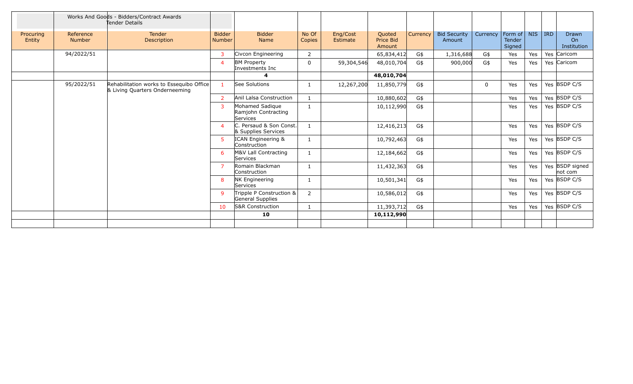|                     |                            | Works And Goods - Bidders/Contract Awards<br>Tender Details                |                                |                                                    |                 |                      |                                      |          |                               |             |                                    |            |            |                            |
|---------------------|----------------------------|----------------------------------------------------------------------------|--------------------------------|----------------------------------------------------|-----------------|----------------------|--------------------------------------|----------|-------------------------------|-------------|------------------------------------|------------|------------|----------------------------|
| Procuring<br>Entity | Reference<br><b>Number</b> | Tender<br>Description                                                      | <b>Bidder</b><br><b>Number</b> | <b>Bidder</b><br>Name                              | No Of<br>Copies | Eng/Cost<br>Estimate | Quoted<br><b>Price Bid</b><br>Amount | Currency | <b>Bid Security</b><br>Amount | Currency    | Form of<br><b>Tender</b><br>Signed | <b>NIS</b> | <b>IRD</b> | Drawn<br>On<br>Institution |
|                     | 94/2022/51                 |                                                                            | 3                              | Civcon Engineering                                 | $\overline{2}$  |                      | 65,834,412                           | G\$      | 1,316,688                     | G\$         | Yes                                | Yes        |            | Yes Caricom                |
|                     |                            |                                                                            | $\overline{4}$                 | <b>BM Property</b><br>Investments Inc              | 0               | 59,304,546           | 48,010,704                           | G\$      | 900,000                       | G\$         | Yes                                | Yes        |            | Yes Caricom                |
|                     |                            |                                                                            |                                | 4                                                  |                 |                      | 48,010,704                           |          |                               |             |                                    |            |            |                            |
|                     | 95/2022/51                 | Rehabilitation works to Essequibo Office<br>& Living Quarters Onderneeming | $\mathbf{1}$                   | See Solutions                                      | 1               | 12,267,200           | 11,850,779                           | G\$      |                               | $\mathbf 0$ | Yes                                | Yes        |            | Yes BSDP C/S               |
|                     |                            |                                                                            | $\overline{2}$                 | Anil Lalsa Construction                            | $\mathbf{1}$    |                      | 10,880,602                           | G\$      |                               |             | Yes                                | Yes        |            | Yes BSDP C/S               |
|                     |                            |                                                                            | 3                              | Mohamed Sadique<br>Ramjohn Contracting<br>Services | 1               |                      | 10,112,990                           | G\$      |                               |             | Yes                                | Yes        |            | Yes BSDP C/S               |
|                     |                            |                                                                            | $\boldsymbol{\Delta}$          | C. Persaud & Son Const.<br>& Supplies Services     | $\mathbf{1}$    |                      | 12,416,213                           | G\$      |                               |             | Yes                                | Yes        |            | Yes BSDP C/S               |
|                     |                            |                                                                            | 5                              | ICAN Engineering &<br>Construction                 |                 |                      | 10,792,463                           | G\$      |                               |             | Yes                                | Yes        |            | Yes $\overline{BSDP}$ C/S  |
|                     |                            |                                                                            | 6                              | M&V Lall Contracting<br>Services                   | $\mathbf{1}$    |                      | 12,184,662                           | G\$      |                               |             | Yes                                | Yes        |            | Yes BSDP C/S               |
|                     |                            |                                                                            | $\overline{7}$                 | Romain Blackman<br>Construction                    |                 |                      | 11,432,363                           | G\$      |                               |             | Yes                                | Yes        |            | Yes BSDP signed<br>not com |
|                     |                            |                                                                            | 8                              | <b>NK Engineering</b><br>Services                  |                 |                      | 10,501,341                           | G\$      |                               |             | Yes                                | Yes        |            | Yes BSDP C/S               |
|                     |                            |                                                                            | 9                              | Tripple P Construction &<br>General Supplies       | 2               |                      | 10,586,012                           | G\$      |                               |             | Yes                                | Yes        |            | Yes BSDP C/S               |
|                     |                            |                                                                            | 10                             | S&R Construction                                   | 1               |                      | 11,393,712                           | G\$      |                               |             | Yes                                | Yes        |            | Yes BSDP C/S               |
|                     |                            |                                                                            |                                | 10                                                 |                 |                      | 10,112,990                           |          |                               |             |                                    |            |            |                            |
|                     |                            |                                                                            |                                |                                                    |                 |                      |                                      |          |                               |             |                                    |            |            |                            |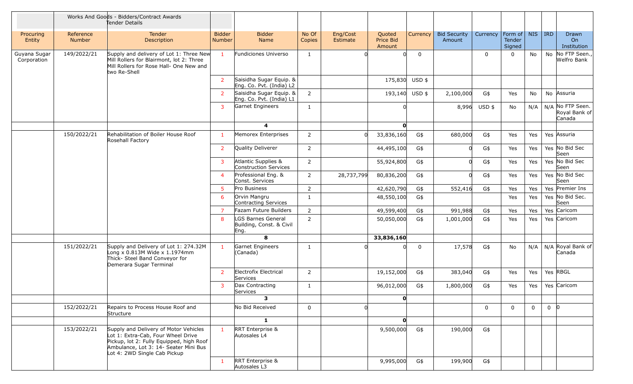|                             |                            | Works And Goods - Bidders/Contract Awards<br>Tender Details                                                                                                                                      |                                |                                                        |                 |                      |                               |          |                               |                |                             |              |            |                                             |
|-----------------------------|----------------------------|--------------------------------------------------------------------------------------------------------------------------------------------------------------------------------------------------|--------------------------------|--------------------------------------------------------|-----------------|----------------------|-------------------------------|----------|-------------------------------|----------------|-----------------------------|--------------|------------|---------------------------------------------|
| Procuring<br>Entity         | Reference<br><b>Number</b> | Tender<br>Description                                                                                                                                                                            | <b>Bidder</b><br><b>Number</b> | <b>Bidder</b><br>Name                                  | No Of<br>Copies | Eng/Cost<br>Estimate | Quoted<br>Price Bid<br>Amount | Currency | <b>Bid Security</b><br>Amount | Currency       | Form of<br>Tender<br>Signed | <b>NIS</b>   | <b>IRD</b> | Drawn<br>On<br>Institution                  |
| Guyana Sugar<br>Corporation | 149/2022/21                | Supply and delivery of Lot 1: Three New<br>Mill Rollers for Blairmont, lot 2: Three<br>Mill Rollers for Rose Hall- One New and<br>two Re-Shell                                                   | $\mathbf{1}$                   | Fundiciones Universo                                   | $\mathbf{1}$    |                      |                               | 0        |                               | $\mathbf 0$    | 0                           | No           |            | No No FTP Seen.,<br>Welfro Bank             |
|                             |                            |                                                                                                                                                                                                  | $\overline{2}$                 | Saisidha Sugar Equip. &<br>Eng. Co. Pvt. (India) L2    |                 |                      | 175,830                       | USD \$   |                               |                |                             |              |            |                                             |
|                             |                            |                                                                                                                                                                                                  | 2                              | Saisidha Sugar Equip. &<br>Eng. Co. Pvt. (India) L1    | $\overline{2}$  |                      | 193,140 USD \$                |          | 2,100,000                     | G\$            | Yes                         | No           |            | No Assuria                                  |
|                             |                            |                                                                                                                                                                                                  | $\mathbf{3}$                   | Garnet Engineers                                       | $\mathbf{1}$    |                      |                               |          | 8,996                         | USD \$         | No                          | N/A          |            | N/A No FTP Seen.<br>Royal Bank of<br>Canada |
|                             |                            |                                                                                                                                                                                                  |                                | $\overline{\mathbf{4}}$                                |                 |                      | O                             |          |                               |                |                             |              |            |                                             |
|                             | 150/2022/21                | Rehabilitation of Boiler House Roof<br>Rosehall Factory                                                                                                                                          | -1                             | Memorex Enterprises                                    | $\overline{2}$  |                      | 33,836,160                    | G\$      | 680,000                       | G\$            | Yes                         | Yes          |            | Yes Assuria                                 |
|                             |                            |                                                                                                                                                                                                  | $\overline{2}$                 | Quality Deliverer                                      | $\overline{2}$  |                      | 44,495,100                    | G\$      | 0                             | G\$            | Yes                         | Yes          |            | Yes No Bid Sec<br>Seen                      |
|                             |                            |                                                                                                                                                                                                  | $\overline{3}$                 | Atlantic Supplies &<br>Construction Services           | $\overline{2}$  |                      | 55,924,800                    | G\$      | 0l                            | G\$            | Yes                         | Yes          |            | Yes No Bid Sec<br>Seen                      |
|                             |                            |                                                                                                                                                                                                  | $\overline{4}$                 | Professional Eng. &<br>Const. Services                 | $\overline{2}$  | 28,737,799           | 80,836,200                    | G\$      | 0l                            | G\$            | Yes                         | Yes          |            | Yes No Bid Sec<br>Seen                      |
|                             |                            |                                                                                                                                                                                                  | -5                             | Pro Business                                           | $\overline{2}$  |                      | 42,620,790                    | G\$      | 552,416                       | G\$            | Yes                         | Yes          |            | Yes Premier Ins                             |
|                             |                            |                                                                                                                                                                                                  | 6                              | Orvin Mangru<br>Contracting Services                   | $\mathbf{1}$    |                      | 48,550,100                    | G\$      |                               |                | Yes                         | Yes          |            | Yes No Bid Sec.<br>Seen                     |
|                             |                            |                                                                                                                                                                                                  | $\overline{7}$                 | Fazam Future Builders                                  | $\overline{2}$  |                      | 49,599,400                    | G\$      | 991,988                       | G\$            | Yes                         | Yes          |            | Yes Caricom                                 |
|                             |                            |                                                                                                                                                                                                  | 8                              | LGS Barnes General<br>Building, Const. & Civil<br>Eng. | $\overline{2}$  |                      | 50,050,000                    | G\$      | 1,001,000                     | G\$            | Yes                         | Yes          |            | Yes Caricom                                 |
|                             |                            |                                                                                                                                                                                                  |                                | 8                                                      |                 |                      | 33,836,160                    |          |                               |                |                             |              |            |                                             |
|                             | 151/2022/21                | Supply and Delivery of Lot 1: 274.32M<br>Long x 0.813M Wide x 1.1974mm<br>Thick- Steel Band Conveyor for<br>Demerara Sugar Terminal                                                              | $\mathbf{1}$                   | Garnet Engineers<br>(Canada)                           | $\mathbf{1}$    |                      |                               | 0        | 17,578                        | G\$            | No                          | N/A          |            | N/A Royal Bank of<br>Canada                 |
|                             |                            |                                                                                                                                                                                                  | $\overline{2}$                 | Electrofix Electrical<br>Services                      | $\overline{2}$  |                      | 19,152,000                    | G\$      | 383,040                       | G\$            | Yes                         | Yes          |            | Yes RBGL                                    |
|                             |                            |                                                                                                                                                                                                  | $\overline{3}$                 | Dax Contracting<br>Services                            | $\mathbf{1}$    |                      | 96,012,000                    | G\$      | 1,800,000                     | G\$            | Yes                         | Yes          |            | Yes Caricom                                 |
|                             |                            |                                                                                                                                                                                                  |                                | 3                                                      |                 |                      | O                             |          |                               |                |                             |              |            |                                             |
|                             | 152/2022/21                | Repairs to Process House Roof and<br>Structure                                                                                                                                                   |                                | No Bid Received                                        | $\mathbf 0$     |                      |                               |          |                               | $\overline{0}$ | $\mathbf{0}$                | $\mathbf{0}$ | $0$ 0      |                                             |
|                             |                            |                                                                                                                                                                                                  |                                | $\mathbf{1}$                                           |                 |                      | O                             |          |                               |                |                             |              |            |                                             |
|                             | 153/2022/21                | Supply and Delivery of Motor Vehicles<br>Lot 1: Extra-Cab, Four Wheel Drive<br>Pickup, lot 2: Fully Equipped, high Roof<br>Ambulance, Lot 3: 14- Seater Mini Bus<br>Lot 4: 2WD Single Cab Pickup | $\mathbf{1}$                   | RRT Enterprise &<br>Autosales L4                       |                 |                      | 9,500,000                     | G\$      | 190,000                       | G\$            |                             |              |            |                                             |
|                             |                            |                                                                                                                                                                                                  | $\mathbf{1}$                   | RRT Enterprise &<br>Autosales L3                       |                 |                      | 9,995,000                     | G\$      | 199,900                       | G\$            |                             |              |            |                                             |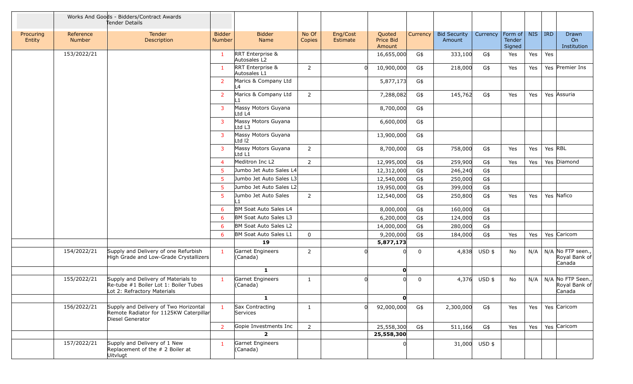|                     |                            | Works And Goods - Bidders/Contract Awards<br>Tender Details                                                 |                                |                                  |                 |                      |                               |          |                               |               |                                    |            |         |                                              |
|---------------------|----------------------------|-------------------------------------------------------------------------------------------------------------|--------------------------------|----------------------------------|-----------------|----------------------|-------------------------------|----------|-------------------------------|---------------|------------------------------------|------------|---------|----------------------------------------------|
| Procuring<br>Entity | Reference<br><b>Number</b> | Tender<br>Description                                                                                       | <b>Bidder</b><br><b>Number</b> | <b>Bidder</b><br>Name            | No Of<br>Copies | Eng/Cost<br>Estimate | Quoted<br>Price Bid<br>Amount | Currency | <b>Bid Security</b><br>Amount | Currency      | Form of<br><b>Tender</b><br>Signed | <b>NIS</b> | $ $ IRD | Drawn<br>On<br>Institution                   |
|                     | 153/2022/21                |                                                                                                             | $\mathbf{1}$                   | RRT Enterprise &<br>Autosales L2 |                 |                      | 16,655,000                    | G\$      | 333,100                       | G\$           | Yes                                | Yes        | Yes     |                                              |
|                     |                            |                                                                                                             | $\mathbf{1}$                   | RRT Enterprise &<br>Autosales L1 | $\overline{2}$  |                      | 10,900,000                    | G\$      | 218,000                       | G\$           | Yes                                | Yes        |         | Yes Premier Ins                              |
|                     |                            |                                                                                                             | $\overline{2}$                 | Marics & Company Ltd<br>L4       |                 |                      | 5,877,173                     | G\$      |                               |               |                                    |            |         |                                              |
|                     |                            |                                                                                                             | $\overline{2}$                 | Marics & Company Ltd             | $\overline{2}$  |                      | 7,288,082                     | G\$      | 145,762                       | G\$           | Yes                                | Yes        |         | Yes Assuria                                  |
|                     |                            |                                                                                                             | $\overline{3}$                 | Massy Motors Guyana<br>Ltd L4    |                 |                      | 8,700,000                     | G\$      |                               |               |                                    |            |         |                                              |
|                     |                            |                                                                                                             | $\overline{3}$                 | Massy Motors Guyana<br>Ltd L3    |                 |                      | 6,600,000                     | G\$      |                               |               |                                    |            |         |                                              |
|                     |                            |                                                                                                             | 3                              | Massy Motors Guyana<br>LtdI2     |                 |                      | 13,900,000                    | G\$      |                               |               |                                    |            |         |                                              |
|                     |                            |                                                                                                             | 3                              | Massy Motors Guyana<br>Ltd L1    | $\overline{2}$  |                      | 8,700,000                     | G\$      | 758,000                       | G\$           | Yes                                | Yes        | Yes RBL |                                              |
|                     |                            |                                                                                                             | $\overline{4}$                 | Meditron Inc L2                  | $\overline{2}$  |                      | 12,995,000                    | G\$      | 259,900                       | G\$           | Yes                                | Yes        |         | Yes Diamond                                  |
|                     |                            |                                                                                                             | -5                             | Jumbo Jet Auto Sales L4          |                 |                      | 12,312,000                    | G\$      | 246,240                       | G\$           |                                    |            |         |                                              |
|                     |                            |                                                                                                             | $5^{\circ}$                    | Jumbo Jet Auto Sales L3          |                 |                      | 12,540,000                    | G\$      | 250,000                       | G\$           |                                    |            |         |                                              |
|                     |                            |                                                                                                             | -5                             | Jumbo Jet Auto Sales L2          |                 |                      | 19,950,000                    | G\$      | 399,000                       | G\$           |                                    |            |         |                                              |
|                     |                            |                                                                                                             | $5\phantom{.0}$                | Jumbo Jet Auto Sales<br>l 1      | $\overline{2}$  |                      | 12,540,000                    | G\$      | 250,800                       | G\$           | Yes                                | Yes        |         | Yes Nafico                                   |
|                     |                            |                                                                                                             | 6                              | BM Soat Auto Sales L4            |                 |                      | 8,000,000                     | G\$      | 160,000                       | G\$           |                                    |            |         |                                              |
|                     |                            |                                                                                                             | 6                              | BM Soat Auto Sales L3            |                 |                      | 6,200,000                     | G\$      | 124,000                       | G\$           |                                    |            |         |                                              |
|                     |                            |                                                                                                             | 6                              | BM Soat Auto Sales L2            |                 |                      | 14,000,000                    | G\$      | 280,000                       | G\$           |                                    |            |         |                                              |
|                     |                            |                                                                                                             | 6                              | BM Soat Auto Sales L1            | $\mathbf 0$     |                      | 9,200,000                     | G\$      | 184,000                       | G\$           | Yes                                | Yes        |         | Yes Caricom                                  |
|                     |                            |                                                                                                             |                                | 19                               |                 |                      | 5,877,173                     |          |                               |               |                                    |            |         |                                              |
|                     | 154/2022/21                | Supply and Delivery of one Refurbish<br>High Grade and Low-Grade Crystallizers                              | $\mathbf{1}$                   | Garnet Engineers<br>(Canada)     | $\overline{2}$  |                      |                               | 0        |                               | 4,838 USD \$  | No                                 | N/A        |         | N/A No FTP seen.,<br>Royal Bank of<br>Canada |
|                     |                            |                                                                                                             |                                | $\mathbf{1}$                     |                 |                      | $\mathbf{0}$                  |          |                               |               |                                    |            |         |                                              |
|                     | 155/2022/21                | Supply and Delivery of Materials to<br>Re-tube #1 Boiler Lot 1: Boiler Tubes<br>Lot 2: Refractory Materials | $\mathbf{1}$                   | Garnet Engineers<br>(Canada)     | 1               |                      |                               | 0        |                               | 4,376 USD \$  | No                                 | N/A        |         | N/A No FTP Seen.,<br>Royal Bank of<br>Canada |
|                     |                            |                                                                                                             |                                | $\mathbf{1}$                     |                 |                      | $\mathbf{0}$                  |          |                               |               |                                    |            |         |                                              |
|                     | 156/2022/21                | Supply and Delivery of Two Horizontal<br>Remote Radiator for 1125KW Caterpillar<br>Diesel Generator         | $\mathbf{1}$                   | Sax Contracting<br>Services      | $\mathbf{1}$    |                      | 92,000,000                    | G\$      | 2,300,000                     | G\$           | Yes                                | Yes        |         | Yes Caricom                                  |
|                     |                            |                                                                                                             | 2                              | Gopie Investments Inc            | $2^{\circ}$     |                      | 25,558,300                    | G\$      | 511,166                       | G\$           | Yes                                | Yes        |         | Yes Caricom                                  |
|                     |                            |                                                                                                             |                                | $\mathbf{2}$                     |                 |                      | 25,558,300                    |          |                               |               |                                    |            |         |                                              |
|                     | 157/2022/21                | Supply and Delivery of 1 New<br>Replacement of the # 2 Boiler at<br>Uitvlugt                                | $\mathbf{1}$                   | Garnet Engineers<br>(Canada)     |                 |                      |                               |          |                               | 31,000 USD \$ |                                    |            |         |                                              |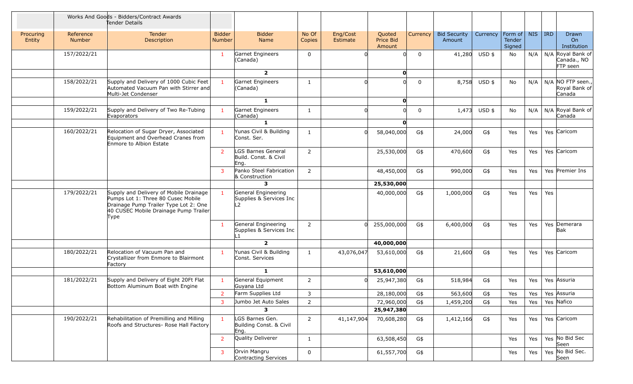|                     |                            | Works And Goods - Bidders/Contract Awards<br>Tender Details                                                                                                            |                                |                                                                  |                 |                      |                               |             |                               |                    |                  |            |         |                                              |
|---------------------|----------------------------|------------------------------------------------------------------------------------------------------------------------------------------------------------------------|--------------------------------|------------------------------------------------------------------|-----------------|----------------------|-------------------------------|-------------|-------------------------------|--------------------|------------------|------------|---------|----------------------------------------------|
| Procuring<br>Entity | Reference<br><b>Number</b> | Tender<br>Description                                                                                                                                                  | <b>Bidder</b><br><b>Number</b> | <b>Bidder</b><br><b>Name</b>                                     | No Of<br>Copies | Eng/Cost<br>Estimate | Quoted<br>Price Bid<br>Amount | Currency    | <b>Bid Security</b><br>Amount | Currency   Form of | Tender<br>Signed | <b>NIS</b> | $ $ IRD | Drawn<br>On<br>Institution                   |
|                     | 157/2022/21                |                                                                                                                                                                        | -1                             | Garnet Engineers<br>(Canada)                                     | $\mathbf 0$     |                      |                               | $\mathbf 0$ | 41,280                        | USD \$             | No               | N/A        |         | N/A Royal Bank of<br>Canada., NO<br>FTP seen |
|                     |                            |                                                                                                                                                                        |                                | $\overline{2}$                                                   |                 |                      | O                             |             |                               |                    |                  |            |         |                                              |
|                     | 158/2022/21                | Supply and Delivery of 1000 Cubic Feet<br>Automated Vacuum Pan with Stirrer and<br>Multi-Jet Condenser                                                                 |                                | Garnet Engineers<br>(Canada)                                     | $\mathbf{1}$    |                      |                               | $\mathbf 0$ |                               | 8,758 USD \$       | No               | N/A        |         | N/A NO FTP seen.,<br>Royal Bank of<br>Canada |
|                     |                            |                                                                                                                                                                        |                                | $\mathbf{1}$                                                     |                 |                      | O                             |             |                               |                    |                  |            |         |                                              |
|                     | 159/2022/21                | Supply and Delivery of Two Re-Tubing<br>Evaporators                                                                                                                    |                                | Garnet Engineers<br>(Canada)                                     | $\mathbf{1}$    |                      |                               | 0           | 1,473                         | $USD$ \$           | No               | N/A        |         | N/A Royal Bank of<br>Canada                  |
|                     |                            |                                                                                                                                                                        |                                | $\mathbf{1}$                                                     |                 |                      | O                             |             |                               |                    |                  |            |         |                                              |
|                     | 160/2022/21                | Relocation of Sugar Dryer, Associated<br>Equipment and Overhead Cranes from<br>Enmore to Albion Estate                                                                 |                                | Yunas Civil & Building<br>Const. Ser.                            | $\mathbf{1}$    |                      | 58,040,000                    | G\$         | 24,000                        | G\$                | Yes              | Yes        |         | Yes Caricom                                  |
|                     |                            |                                                                                                                                                                        | $\overline{2}$                 | LGS Barnes General<br>Build. Const. & Civil<br>Eng.              | $\overline{2}$  |                      | 25,530,000                    | G\$         | 470,600                       | G\$                | Yes              | Yes        |         | Yes Caricom                                  |
|                     |                            |                                                                                                                                                                        | 3                              | Panko Steel Fabrication<br>& Construction                        | $\overline{2}$  |                      | 48,450,000                    | G\$         | 990,000                       | G\$                | Yes              | Yes        |         | Yes Premier Ins                              |
|                     |                            |                                                                                                                                                                        |                                | $\mathbf{3}$                                                     |                 |                      | 25,530,000                    |             |                               |                    |                  |            |         |                                              |
|                     | 179/2022/21                | Supply and Delivery of Mobile Drainage<br>Pumps Lot 1: Three 80 Cusec Mobile<br>Drainage Pump Trailer Type Lot 2: One<br>40 CUSEC Mobile Drainage Pump Trailer<br>Type |                                | General Engineering<br>Supplies & Services Inc<br>L <sub>2</sub> |                 |                      | 40,000,000                    | G\$         | 1,000,000                     | G\$                | Yes              | Yes        | Yes     |                                              |
|                     |                            |                                                                                                                                                                        | $\mathbf{1}$                   | General Engineering<br>Supplies & Services Inc<br>L1             | $2^{\circ}$     | ∩                    | 255,000,000                   | G\$         | 6,400,000                     | G\$                | Yes              | Yes        |         | Yes Demerara<br>Bak                          |
|                     |                            |                                                                                                                                                                        |                                | $\overline{2}$                                                   |                 |                      | 40,000,000                    |             |                               |                    |                  |            |         |                                              |
|                     | 180/2022/21                | Relocation of Vacuum Pan and<br>Crystallizer from Enmore to Blairmont<br>Factory                                                                                       | $\mathbf{1}$                   | Yunas Civil & Building<br>Const. Services                        | $\mathbf{1}$    | 43,076,047           | 53,610,000                    | G\$         | 21,600                        | G\$                | Yes              | Yes        |         | Yes Caricom                                  |
|                     |                            |                                                                                                                                                                        |                                | $\mathbf{1}$                                                     |                 |                      | 53,610,000                    |             |                               |                    |                  |            |         |                                              |
|                     | 181/2022/21                | Supply and Delivery of Eight 20Ft Flat<br>Bottom Aluminum Boat with Engine                                                                                             | $\mathbf{1}$                   | General Equipment<br>Guyana Ltd                                  | $\overline{2}$  |                      | 25,947,380                    | G\$         | 518,984                       | G\$                | Yes              | Yes        |         | Yes Assuria                                  |
|                     |                            |                                                                                                                                                                        |                                | Farm Supplies Ltd                                                | 3               |                      | 28,180,000                    | G\$         | 563,600                       | G\$                | Yes              | Yes        |         | Yes Assuria                                  |
|                     |                            |                                                                                                                                                                        | $\overline{3}$                 | Jumbo Jet Auto Sales                                             | $\overline{2}$  |                      | 72,960,000                    | G\$         | 1,459,200                     | G\$                | Yes              | Yes        |         | Yes Nafico                                   |
|                     |                            |                                                                                                                                                                        |                                | $\mathbf{3}$                                                     |                 |                      | 25,947,380                    |             |                               |                    |                  |            |         |                                              |
|                     | 190/2022/21                | Rehabilitation of Premilling and Milling<br>Roofs and Structures- Rose Hall Factory                                                                                    | $\mathbf{1}$                   | LGS Barnes Gen.<br>Building Const. & Civil<br>Eng.               | $2^{\circ}$     | 41,147,904           | 70,608,280                    | G\$         | 1,412,166                     | G\$                | Yes              | Yes        |         | Yes Caricom                                  |
|                     |                            |                                                                                                                                                                        | $\overline{2}$                 | Quality Deliverer                                                | $\mathbf{1}$    |                      | 63,508,450                    | G\$         |                               |                    | Yes              | Yes        |         | Yes No Bid Sec<br>Seen                       |
|                     |                            |                                                                                                                                                                        | $\mathbf{3}$                   | Orvin Mangru<br>Contracting Services                             | 0               |                      | 61,557,700                    | G\$         |                               |                    | Yes              | Yes        |         | Yes No Bid Sec.<br>Seen                      |